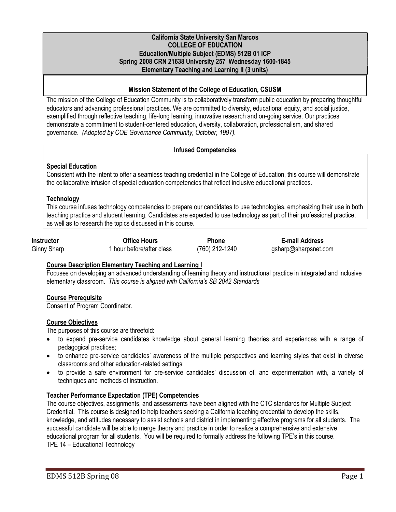## California State University San Marcos COLLEGE OF EDUCATION Education/Multiple Subject (EDMS) 512B 01 ICP Spring 2008 CRN 21638 University 257 Wednesday 1600-1845 Elementary Teaching and Learning II (3 units)

# Mission Statement of the College of Education, CSUSM

The mission of the College of Education Community is to collaboratively transform public education by preparing thoughtful educators and advancing professional practices. We are committed to diversity, educational equity, and social justice, exemplified through reflective teaching, life-long learning, innovative research and on-going service. Our practices demonstrate a commitment to student-centered education, diversity, collaboration, professionalism, and shared governance. (Adopted by COE Governance Community, October, 1997).

# Infused Competencies

# Special Education

Consistent with the intent to offer a seamless teaching credential in the College of Education, this course will demonstrate the collaborative infusion of special education competencies that reflect inclusive educational practices.

# **Technology**

This course infuses technology competencies to prepare our candidates to use technologies, emphasizing their use in both teaching practice and student learning. Candidates are expected to use technology as part of their professional practice, as well as to research the topics discussed in this course.

| <b>Instructor</b> |  |
|-------------------|--|
| Ginny Sharn       |  |

Office Hours<br>1 hour before/after class 1 and T60 212-1240 asharp@sharpsnet.com Ginny Sharp 1 hour before/after class (760) 212-1240 gsharp@sharpsnet.com

# Course Description Elementary Teaching and Learning I

Focuses on developing an advanced understanding of learning theory and instructional practice in integrated and inclusive elementary classroom. This course is aligned with California's SB 2042 Standards

# Course Prerequisite

Consent of Program Coordinator.

# Course Objectives

The purposes of this course are threefold:

- to expand pre-service candidates knowledge about general learning theories and experiences with a range of pedagogical practices;
- to enhance pre-service candidates' awareness of the multiple perspectives and learning styles that exist in diverse classrooms and other education-related settings;
- to provide a safe environment for pre-service candidates' discussion of, and experimentation with, a variety of techniques and methods of instruction.

# Teacher Performance Expectation (TPE) Competencies

The course objectives, assignments, and assessments have been aligned with the CTC standards for Multiple Subject Credential. This course is designed to help teachers seeking a California teaching credential to develop the skills, knowledge, and attitudes necessary to assist schools and district in implementing effective programs for all students. The successful candidate will be able to merge theory and practice in order to realize a comprehensive and extensive educational program for all students. You will be required to formally address the following TPE's in this course. TPE 14 – Educational Technology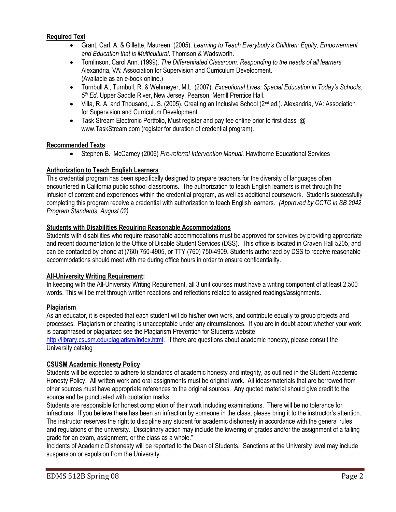# Required Text

- Grant, Carl. A. & Gillette, Maureen. (2005). Learning to Teach Everybody's Children: Equity, Empowerment and Education that is Multicultural. Thomson & Wadsworth.
- Tomlinson, Carol Ann. (1999). The Differentiated Classroom: Responding to the needs of all learners. Alexandria, VA: Association for Supervision and Curriculum Development. (Available as an e-book online.)
- Turnbull A., Turnbull, R. & Wehmeyer, M.L. (2007). Exceptional Lives: Special Education in Today's Schools, 5<sup>th</sup> Ed. Upper Saddle River, New Jersey: Pearson, Merrill Prentice Hall.
- Villa, R. A. and Thousand, J. S. (2005). Creating an Inclusive School (2<sup>nd</sup> ed.). Alexandria, VA: Association for Supervision and Curriculum Development.
- Task Stream Electronic Portfolio, Must register and pay fee online prior to first class @ www.TaskStream.com (register for duration of credential program).

# Recommended Texts

Stephen B. McCarney (2006) Pre-referral Intervention Manual, Hawthorne Educational Services

# Authorization to Teach English Learners

This credential program has been specifically designed to prepare teachers for the diversity of languages often encountered in California public school classrooms. The authorization to teach English learners is met through the infusion of content and experiences within the credential program, as well as additional coursework. Students successfully completing this program receive a credential with authorization to teach English learners. (Approved by CCTC in SB 2042 Program Standards, August 02)

# Students with Disabilities Requiring Reasonable Accommodations

Students with disabilities who require reasonable accommodations must be approved for services by providing appropriate and recent documentation to the Office of Disable Student Services (DSS). This office is located in Craven Hall 5205, and can be contacted by phone at (760) 750-4905, or TTY (760) 750-4909. Students authorized by DSS to receive reasonable accommodations should meet with me during office hours in order to ensure confidentiality.

# All-University Writing Requirement:

In keeping with the All-University Writing Requirement, all 3 unit courses must have a writing component of at least 2,500 words. This will be met through written reactions and reflections related to assigned readings/assignments.

# Plagiarism

As an educator, it is expected that each student will do his/her own work, and contribute equally to group projects and processes. Plagiarism or cheating is unacceptable under any circumstances. If you are in doubt about whether your work is paraphrased or plagiarized see the Plagiarism Prevention for Students website

http://library.csusm.edu/plagiarism/index.html. If there are questions about academic honesty, please consult the University catalog

# CSUSM Academic Honesty Policy

Students will be expected to adhere to standards of academic honesty and integrity, as outlined in the Student Academic Honesty Policy. All written work and oral assignments must be original work. All ideas/materials that are borrowed from other sources must have appropriate references to the original sources. Any quoted material should give credit to the source and be punctuated with quotation marks.

Students are responsible for honest completion of their work including examinations. There will be no tolerance for infractions. If you believe there has been an infraction by someone in the class, please bring it to the instructor's attention. The instructor reserves the right to discipline any student for academic dishonesty in accordance with the general rules and regulations of the university. Disciplinary action may include the lowering of grades and/or the assignment of a failing grade for an exam, assignment, or the class as a whole."

Incidents of Academic Dishonesty will be reported to the Dean of Students. Sanctions at the University level may include suspension or expulsion from the University.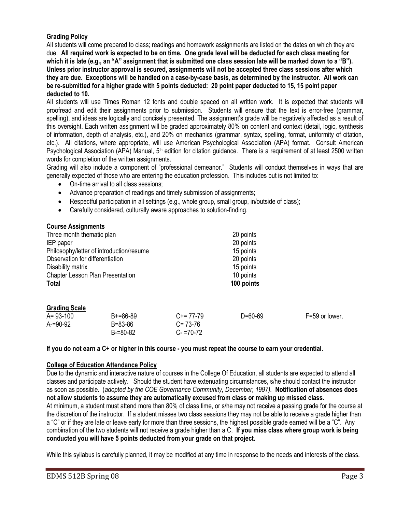# Grading Policy

All students will come prepared to class; readings and homework assignments are listed on the dates on which they are due. All required work is expected to be on time. One grade level will be deducted for each class meeting for which it is late (e.g., an "A" assignment that is submitted one class session late will be marked down to a "B"). Unless prior instructor approval is secured, assignments will not be accepted three class sessions after which they are due. Exceptions will be handled on a case-by-case basis, as determined by the instructor. All work can be re-submitted for a higher grade with 5 points deducted: 20 point paper deducted to 15, 15 point paper deducted to 10.

All students will use Times Roman 12 fonts and double spaced on all written work. It is expected that students will proofread and edit their assignments prior to submission. Students will ensure that the text is error-free (grammar, spelling), and ideas are logically and concisely presented. The assignment's grade will be negatively affected as a result of this oversight. Each written assignment will be graded approximately 80% on content and context (detail, logic, synthesis of information, depth of analysis, etc.), and 20% on mechanics (grammar, syntax, spelling, format, uniformity of citation, etc.). All citations, where appropriate, will use American Psychological Association (APA) format. Consult American Psychological Association (APA) Manual,  $5<sup>th</sup>$  edition for citation guidance. There is a requirement of at least 2500 written words for completion of the written assignments.

Grading will also include a component of "professional demeanor." Students will conduct themselves in ways that are generally expected of those who are entering the education profession. This includes but is not limited to:

- On-time arrival to all class sessions;
- Advance preparation of readings and timely submission of assignments;
- Respectful participation in all settings (e.g., whole group, small group, in/outside of class);
- Carefully considered, culturally aware approaches to solution-finding.

#### Course Assignments

| Three month thematic plan                | 20 points  |
|------------------------------------------|------------|
| IEP paper                                | 20 points  |
| Philosophy/letter of introduction/resume | 15 points  |
| Observation for differentiation          | 20 points  |
| Disability matrix                        | 15 points  |
| Chapter Lesson Plan Presentation         | 10 points  |
| <b>Total</b>                             | 100 points |
|                                          |            |
|                                          |            |

| <b>Grading Scale</b> |  |
|----------------------|--|
|                      |  |

| A= 93-100   | $B + = 86 - 89$ | $C+= 77-79$   | D=60-69 | F=59 or lower. |
|-------------|-----------------|---------------|---------|----------------|
| $A = 90-92$ | $B = 83 - 86$   | $C = 73-76$   |         |                |
|             | $B=80-82$       | $C - 70 - 72$ |         |                |

#### If you do not earn a C+ or higher in this course - you must repeat the course to earn your credential.

### College of Education Attendance Policy

Due to the dynamic and interactive nature of courses in the College Of Education, all students are expected to attend all classes and participate actively. Should the student have extenuating circumstances, s/he should contact the instructor as soon as possible. (adopted by the COE Governance Community, December, 1997). Notification of absences does not allow students to assume they are automatically excused from class or making up missed class. At minimum, a student must attend more than 80% of class time, or s/he may not receive a passing grade for the course at the discretion of the instructor. If a student misses two class sessions they may not be able to receive a grade higher than a "C" or if they are late or leave early for more than three sessions, the highest possible grade earned will be a "C". Any combination of the two students will not receive a grade higher than a C. If you miss class where group work is being conducted you will have 5 points deducted from your grade on that project.

While this syllabus is carefully planned, it may be modified at any time in response to the needs and interests of the class.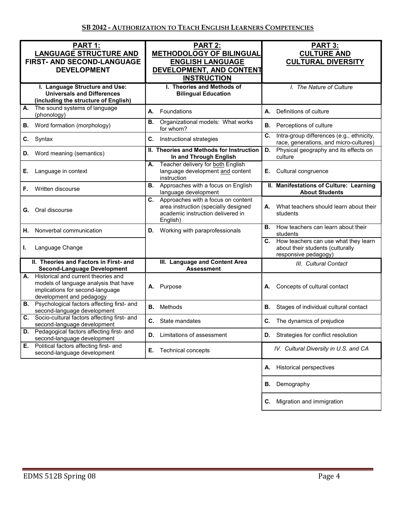| PART 1:<br><b>LANGUAGE STRUCTURE AND</b><br>FIRST- AND SECOND-LANGUAGE<br><b>DEVELOPMENT</b>                                                    | PART 2:<br><b>METHODOLOGY OF BILINGUAL</b><br><b>ENGLISH LANGUAGE</b><br>DEVELOPMENT, AND CONTENT<br><b>INSTRUCTION</b>           | PART 3:<br><b>CULTURE AND</b><br><b>CULTURAL DIVERSITY</b>                                          |
|-------------------------------------------------------------------------------------------------------------------------------------------------|-----------------------------------------------------------------------------------------------------------------------------------|-----------------------------------------------------------------------------------------------------|
| I. Language Structure and Use:<br><b>Universals and Differences</b><br>(including the structure of English)                                     | I. Theories and Methods of<br><b>Bilingual Education</b>                                                                          | I. The Nature of Culture                                                                            |
| The sound systems of language<br>А.<br>(phonology)                                                                                              | А.<br>Foundations                                                                                                                 | Definitions of culture<br>А.                                                                        |
| Word formation (morphology)<br>В.                                                                                                               | Organizational models: What works<br>В.<br>for whom?                                                                              | В.<br>Perceptions of culture                                                                        |
| Syntax<br>C.                                                                                                                                    | C.<br>Instructional strategies                                                                                                    | C.<br>Intra-group differences (e.g., ethnicity,<br>race, generations, and micro-cultures)           |
| Word meaning (semantics)<br>D.                                                                                                                  | II. Theories and Methods for Instruction<br>In and Through English                                                                | Physical geography and its effects on<br>D.<br>culture                                              |
| Е.<br>Language in context                                                                                                                       | Teacher delivery for both English<br>А.<br>language development and content<br>instruction                                        | Cultural congruence<br>Е.                                                                           |
| Written discourse<br>F.                                                                                                                         | Approaches with a focus on English<br>В.<br>language development                                                                  | II. Manifestations of Culture: Learning<br><b>About Students</b>                                    |
| Oral discourse<br>G.                                                                                                                            | Approaches with a focus on content<br>C.<br>area instruction (specially designed<br>academic instruction delivered in<br>English) | What teachers should learn about their<br>А.<br>students                                            |
| Nonverbal communication<br>Η.                                                                                                                   | Working with paraprofessionals<br>D.                                                                                              | <b>B.</b> How teachers can learn about their<br>students                                            |
| Language Change<br>L.                                                                                                                           |                                                                                                                                   | C. How teachers can use what they learn<br>about their students (culturally<br>responsive pedagogy) |
| II. Theories and Factors in First- and<br><b>Second-Language Development</b>                                                                    | III. Language and Content Area<br><b>Assessment</b>                                                                               | III. Cultural Contact                                                                               |
| A. Historical and current theories and<br>models of language analysis that have<br>implications for second-language<br>development and pedagogy | Purpose<br>А.                                                                                                                     | Concepts of cultural contact<br>А.                                                                  |
| <b>B.</b> Psychological factors affecting first- and<br>second-language development                                                             | Methods<br>В.                                                                                                                     | В.<br>Stages of individual cultural contact                                                         |
| Socio-cultural factors affecting first- and<br>C.<br>second-language development                                                                | C. State mandates                                                                                                                 | C. The dynamics of prejudice                                                                        |
| D. Pedagogical factors affecting first- and<br>second-language development                                                                      | Limitations of assessment<br>D.                                                                                                   | <b>D.</b> Strategies for conflict resolution                                                        |
| Political factors affecting first- and<br>Е.<br>second-language development                                                                     | Е.<br>Technical concepts                                                                                                          | IV. Cultural Diversity in U.S. and CA                                                               |
|                                                                                                                                                 |                                                                                                                                   | <b>Historical perspectives</b><br>А.                                                                |
|                                                                                                                                                 |                                                                                                                                   | Demography<br>В.                                                                                    |
|                                                                                                                                                 |                                                                                                                                   | Migration and immigration<br>C.                                                                     |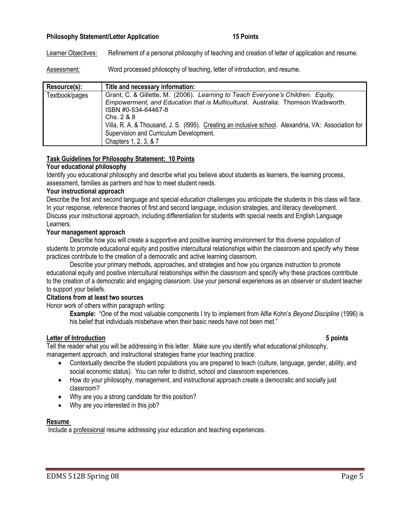## Philosophy Statement/Letter Application 15 Points

Learner Objectives: Refinement of a personal philosophy of teaching and creation of letter of application and resume.

Assessment: Word processed philosophy of teaching, letter of introduction, and resume.

| Resource(s):   | Title and necessary information:                                                                                                                                                                                                                                                                                                                                                    |
|----------------|-------------------------------------------------------------------------------------------------------------------------------------------------------------------------------------------------------------------------------------------------------------------------------------------------------------------------------------------------------------------------------------|
| Textbook/pages | Grant, C. & Gillette, M. (2006). Learning to Teach Everyone's Children. Equity,<br>Empowerment, and Education that is Multicultural. Australia: Thomson Wadsworth.<br>ISBN #0-534-64467-8<br>Chs. 2 & 8<br>Villa, R. A. & Thousand, J. S. (1995). Creating an inclusive school. Alexandria, VA: Association for<br>Supervision and Curriculum Development.<br>Chapters 1, 2, 3, & 7 |

#### Task Guidelines for Philosophy Statement: 10 Points

### Your educational philosophy

Identify you educational philosophy and describe what you believe about students as learners, the learning process, assessment, families as partners and how to meet student needs.

#### Your instructional approach

Describe the first and second language and special education challenges you anticipate the students in this class will face. In your response, reference theories of first and second language, inclusion strategies, and literacy development. Discuss your instructional approach, including differentiation for students with special needs and English Language Learners.

#### Your management approach

Describe how you will create a supportive and positive learning environment for this diverse population of students to promote educational equity and positive intercultural relationships within the classroom and specify why these practices contribute to the creation of a democratic and active learning classroom.

Describe your primary methods, approaches, and strategies and how you organize instruction to promote educational equity and positive intercultural relationships within the classroom and specify why these practices contribute to the creation of a democratic and engaging classroom. Use your personal experiences as an observer or student teacher to support your beliefs.

#### Citations from at least two sources

Honor work of others within paragraph writing:

Example: "One of the most valuable components I try to implement from Alfie Kohn's Bevond Discipline (1996) is his belief that individuals misbehave when their basic needs have not been met."

## Letter of Introduction 5 points 5 points

Tell the reader what you will be addressing in this letter. Make sure you identify what educational philosophy, management approach, and instructional strategies frame your teaching practice.

- Contextually describe the student populations you are prepared to teach (culture, language, gender, ability, and social economic status). You can refer to district, school and classroom experiences.
- How do your philosophy, management, and instructional approach create a democratic and socially just classroom?
- Why are you a strong candidate for this position?
- Why are you interested in this job?

### Resume

Include a professional resume addressing your education and teaching experiences.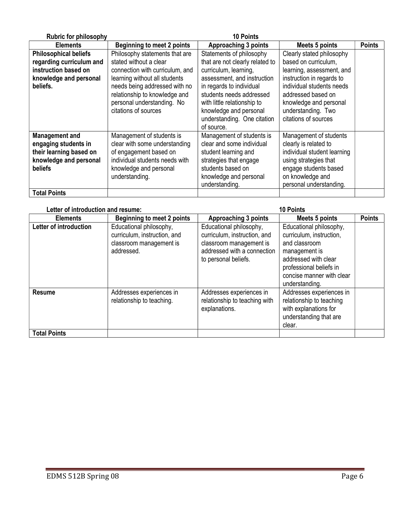| <b>Rubric for philosophy</b>                                                                                         |                                                                                                                                                                    | <b>10 Points</b>                                                                                                                                                          |                                                                                                                                                                                 |               |
|----------------------------------------------------------------------------------------------------------------------|--------------------------------------------------------------------------------------------------------------------------------------------------------------------|---------------------------------------------------------------------------------------------------------------------------------------------------------------------------|---------------------------------------------------------------------------------------------------------------------------------------------------------------------------------|---------------|
| <b>Elements</b>                                                                                                      | <b>Beginning to meet 2 points</b>                                                                                                                                  | <b>Approaching 3 points</b>                                                                                                                                               | <b>Meets 5 points</b>                                                                                                                                                           | <b>Points</b> |
| <b>Philosophical beliefs</b>                                                                                         | Philosophy statements that are                                                                                                                                     | Statements of philosophy                                                                                                                                                  | Clearly stated philosophy                                                                                                                                                       |               |
| regarding curriculum and                                                                                             | stated without a clear                                                                                                                                             | that are not clearly related to                                                                                                                                           | based on curriculum.                                                                                                                                                            |               |
| instruction based on                                                                                                 | connection with curriculum, and                                                                                                                                    | curriculum, learning,                                                                                                                                                     | learning, assessment, and                                                                                                                                                       |               |
| knowledge and personal                                                                                               | learning without all students                                                                                                                                      | assessment, and instruction                                                                                                                                               | instruction in regards to                                                                                                                                                       |               |
| beliefs.                                                                                                             | needs being addressed with no<br>relationship to knowledge and<br>personal understanding. No<br>citations of sources                                               | in regards to individual<br>students needs addressed<br>with little relationship to<br>knowledge and personal<br>understanding. One citation<br>of source.                | individual students needs<br>addressed based on<br>knowledge and personal<br>understanding. Two<br>citations of sources                                                         |               |
| <b>Management and</b><br>engaging students in<br>their learning based on<br>knowledge and personal<br><b>beliefs</b> | Management of students is<br>clear with some understanding<br>of engagement based on<br>individual students needs with<br>knowledge and personal<br>understanding. | Management of students is<br>clear and some individual<br>student learning and<br>strategies that engage<br>students based on<br>knowledge and personal<br>understanding. | Management of students<br>clearly is related to<br>individual student learning<br>using strategies that<br>engage students based<br>on knowledge and<br>personal understanding. |               |
| <b>Total Points</b>                                                                                                  |                                                                                                                                                                    |                                                                                                                                                                           |                                                                                                                                                                                 |               |

| Letter of introduction and resume: |                                                                                                  | <b>10 Points</b>                                                                                                                          |                                                                                                                                                                                         |               |
|------------------------------------|--------------------------------------------------------------------------------------------------|-------------------------------------------------------------------------------------------------------------------------------------------|-----------------------------------------------------------------------------------------------------------------------------------------------------------------------------------------|---------------|
| <b>Elements</b>                    | <b>Beginning to meet 2 points</b>                                                                | <b>Approaching 3 points</b>                                                                                                               | Meets 5 points                                                                                                                                                                          | <b>Points</b> |
| Letter of introduction             | Educational philosophy,<br>curriculum, instruction, and<br>classroom management is<br>addressed. | Educational philosophy,<br>curriculum, instruction, and<br>classroom management is<br>addressed with a connection<br>to personal beliefs. | Educational philosophy,<br>curriculum, instruction,<br>and classroom<br>management is<br>addressed with clear<br>professional beliefs in<br>concise manner with clear<br>understanding. |               |
| <b>Resume</b>                      | Addresses experiences in<br>relationship to teaching.                                            | Addresses experiences in<br>relationship to teaching with<br>explanations.                                                                | Addresses experiences in<br>relationship to teaching<br>with explanations for<br>understanding that are<br>clear.                                                                       |               |
| <b>Total Points</b>                |                                                                                                  |                                                                                                                                           |                                                                                                                                                                                         |               |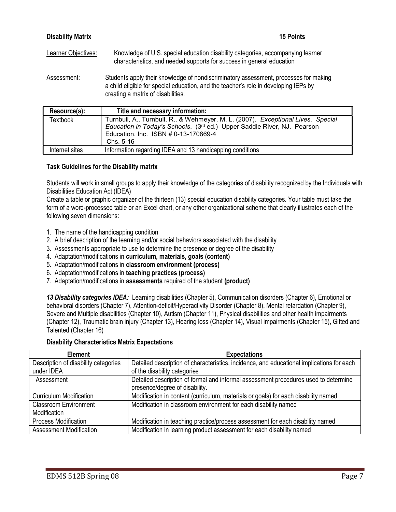| <b>Disability Matrix</b> | <b>15 Points</b>                                                                                                                                                                                                   |
|--------------------------|--------------------------------------------------------------------------------------------------------------------------------------------------------------------------------------------------------------------|
| Learner Objectives:      | Knowledge of U.S. special education disability categories, accompanying learner<br>characteristics, and needed supports for success in general education                                                           |
| Assessment:              | Students apply their knowledge of nondiscriminatory assessment, processes for making<br>a child eligible for special education, and the teacher's role in developing IEPs by<br>creating a matrix of disabilities. |

| Resource(s):    | Title and necessary information:                                                                                                                                                                                |
|-----------------|-----------------------------------------------------------------------------------------------------------------------------------------------------------------------------------------------------------------|
| <b>Textbook</b> | Turnbull, A., Turnbull, R., & Wehmeyer, M. L. (2007). Exceptional Lives. Special<br>Education in Today's Schools. (3rd ed.) Upper Saddle River, NJ. Pearson<br>Education, Inc. ISBN #0-13-170869-4<br>Chs. 5-16 |
| Internet sites  | Information regarding IDEA and 13 handicapping conditions                                                                                                                                                       |
|                 |                                                                                                                                                                                                                 |

# Task Guidelines for the Disability matrix

Students will work in small groups to apply their knowledge of the categories of disability recognized by the Individuals with Disabilities Education Act (IDEA)

Create a table or graphic organizer of the thirteen (13) special education disability categories. Your table must take the form of a word-processed table or an Excel chart, or any other organizational scheme that clearly illustrates each of the following seven dimensions:

- 1. The name of the handicapping condition
- 2. A brief description of the learning and/or social behaviors associated with the disability
- 3. Assessments appropriate to use to determine the presence or degree of the disability
- 4. Adaptation/modifications in curriculum, materials, goals (content)
- 5. Adaptation/modifications in classroom environment (process)
- 6. Adaptation/modifications in teaching practices (process)
- 7. Adaptation/modifications in assessments required of the student (product)

13 Disability categories IDEA: Learning disabilities (Chapter 5), Communication disorders (Chapter 6), Emotional or behavioral disorders (Chapter 7), Attention-deficit/Hyperactivity Disorder (Chapter 8), Mental retardation (Chapter 9), Severe and Multiple disabilities (Chapter 10), Autism (Chapter 11), Physical disabilities and other health impairments (Chapter 12), Traumatic brain injury (Chapter 13), Hearing loss (Chapter 14), Visual impairments (Chapter 15), Gifted and Talented (Chapter 16)

# Disability Characteristics Matrix Expectations

| <b>Element</b>                       | <b>Expectations</b>                                                                                                   |
|--------------------------------------|-----------------------------------------------------------------------------------------------------------------------|
| Description of disability categories | Detailed description of characteristics, incidence, and educational implications for each                             |
| under IDEA                           | of the disability categories                                                                                          |
| Assessment                           | Detailed description of formal and informal assessment procedures used to determine<br>presence/degree of disability. |
| <b>Curriculum Modification</b>       | Modification in content (curriculum, materials or goals) for each disability named                                    |
| <b>Classroom Environment</b>         | Modification in classroom environment for each disability named                                                       |
| Modification                         |                                                                                                                       |
| <b>Process Modification</b>          | Modification in teaching practice/process assessment for each disability named                                        |
| <b>Assessment Modification</b>       | Modification in learning product assessment for each disability named                                                 |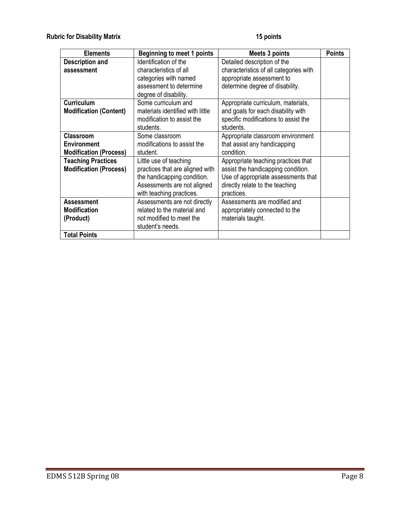| <b>Elements</b>               | <b>Beginning to meet 1 points</b> | Meets 3 points                         | <b>Points</b> |
|-------------------------------|-----------------------------------|----------------------------------------|---------------|
| <b>Description and</b>        | Identification of the             | Detailed description of the            |               |
| assessment                    | characteristics of all            | characteristics of all categories with |               |
|                               | categories with named             | appropriate assessment to              |               |
|                               | assessment to determine           | determine degree of disability.        |               |
|                               | degree of disability.             |                                        |               |
| <b>Curriculum</b>             | Some curriculum and               | Appropriate curriculum, materials,     |               |
| <b>Modification (Content)</b> | materials identified with little  | and goals for each disability with     |               |
|                               | modification to assist the        | specific modifications to assist the   |               |
|                               | students.                         | students.                              |               |
| <b>Classroom</b>              | Some classroom                    | Appropriate classroom environment      |               |
| <b>Environment</b>            | modifications to assist the       | that assist any handicapping           |               |
| <b>Modification (Process)</b> | student.                          | condition.                             |               |
| <b>Teaching Practices</b>     | Little use of teaching            | Appropriate teaching practices that    |               |
| <b>Modification (Process)</b> | practices that are aligned with   | assist the handicapping condition.     |               |
|                               | the handicapping condition.       | Use of appropriate assessments that    |               |
|                               | Assessments are not aligned       | directly relate to the teaching        |               |
|                               | with teaching practices.          | practices.                             |               |
| <b>Assessment</b>             | Assessments are not directly      | Assessments are modified and           |               |
| <b>Modification</b>           | related to the material and       | appropriately connected to the         |               |
| (Product)                     | not modified to meet the          | materials taught.                      |               |
|                               | student's needs.                  |                                        |               |
| <b>Total Points</b>           |                                   |                                        |               |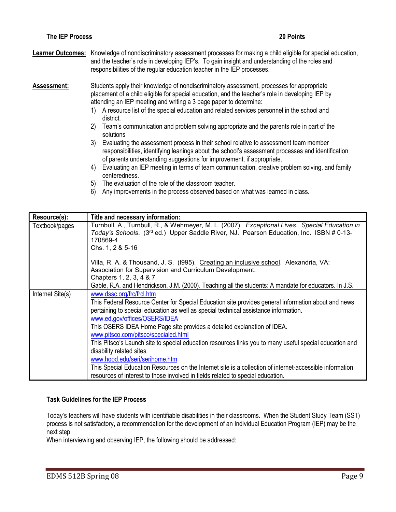Learner Outcomes: Knowledge of nondiscriminatory assessment processes for making a child eligible for special education, and the teacher's role in developing IEP's. To gain insight and understanding of the roles and responsibilities of the regular education teacher in the IEP processes.

Assessment: Students apply their knowledge of nondiscriminatory assessment, processes for appropriate placement of a child eligible for special education, and the teacher's role in developing IEP by attending an IEP meeting and writing a 3 page paper to determine:

- 1) A resource list of the special education and related services personnel in the school and district.
- 2) Team's communication and problem solving appropriate and the parents role in part of the solutions
- 3) Evaluating the assessment process in their school relative to assessment team member responsibilities, identifying leanings about the school's assessment processes and identification of parents understanding suggestions for improvement, if appropriate.
- 4) Evaluating an IEP meeting in terms of team communication, creative problem solving, and family centeredness.
- 5) The evaluation of the role of the classroom teacher.
- 6) Any improvements in the process observed based on what was learned in class.

| Resource(s):     | Title and necessary information:                                                                                                                                                                                                                                                    |
|------------------|-------------------------------------------------------------------------------------------------------------------------------------------------------------------------------------------------------------------------------------------------------------------------------------|
| Textbook/pages   | Turnbull, A., Turnbull, R., & Wehmeyer, M. L. (2007). Exceptional Lives. Special Education in<br>Today's Schools. (3 <sup>rd</sup> ed.) Upper Saddle River, NJ. Pearson Education, Inc. ISBN # 0-13-<br>170869-4<br>Chs. 1, 2 & 5-16                                                |
|                  | Villa, R. A. & Thousand, J. S. (1995). Creating an inclusive school. Alexandria, VA:<br>Association for Supervision and Curriculum Development.<br>Chapters 1, 2, 3, 4 & 7<br>Gable, R.A. and Hendrickson, J.M. (2000). Teaching all the students: A mandate for educators. In J.S. |
| Internet Site(s) | www.dssc.org/frc/frcl.htm                                                                                                                                                                                                                                                           |
|                  | This Federal Resource Center for Special Education site provides general information about and news<br>pertaining to special education as well as special technical assistance information.<br>www.ed.gov/offices/OSERS/IDEA                                                        |
|                  | This OSERS IDEA Home Page site provides a detailed explanation of IDEA.                                                                                                                                                                                                             |
|                  | www.pitsco.com/pitsco/specialed.html                                                                                                                                                                                                                                                |
|                  | This Pitsco's Launch site to special education resources links you to many useful special education and                                                                                                                                                                             |
|                  | disability related sites.                                                                                                                                                                                                                                                           |
|                  | www.hood.edu/seri/serihome.htm                                                                                                                                                                                                                                                      |
|                  | This Special Education Resources on the Internet site is a collection of internet-accessible information                                                                                                                                                                            |
|                  | resources of interest to those involved in fields related to special education.                                                                                                                                                                                                     |

### Task Guidelines for the IEP Process

Today's teachers will have students with identifiable disabilities in their classrooms. When the Student Study Team (SST) process is not satisfactory, a recommendation for the development of an Individual Education Program (IEP) may be the next step.

When interviewing and observing IEP, the following should be addressed: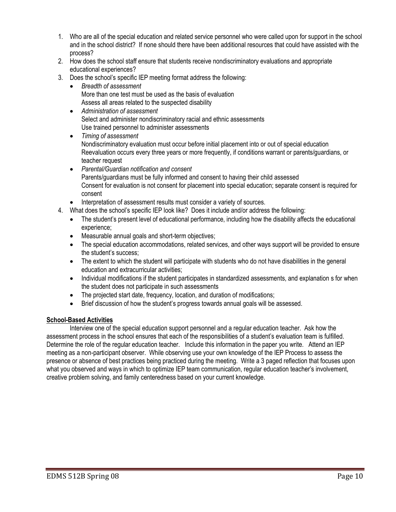- 1. Who are all of the special education and related service personnel who were called upon for support in the school and in the school district? If none should there have been additional resources that could have assisted with the process?
- 2. How does the school staff ensure that students receive nondiscriminatory evaluations and appropriate educational experiences?
- 3. Does the school's specific IEP meeting format address the following:
	- Breadth of assessment More than one test must be used as the basis of evaluation Assess all areas related to the suspected disability
	- Administration of assessment Select and administer nondiscriminatory racial and ethnic assessments Use trained personnel to administer assessments
	- Timing of assessment Nondiscriminatory evaluation must occur before initial placement into or out of special education Reevaluation occurs every three years or more frequently, if conditions warrant or parents/guardians, or teacher request
	- Parental/Guardian notification and consent Parents/guardians must be fully informed and consent to having their child assessed Consent for evaluation is not consent for placement into special education; separate consent is required for consent
	- Interpretation of assessment results must consider a variety of sources.
- 4. What does the school's specific IEP look like? Does it include and/or address the following:
	- The student's present level of educational performance, including how the disability affects the educational experience;
	- Measurable annual goals and short-term objectives;
	- The special education accommodations, related services, and other ways support will be provided to ensure the student's success;
	- The extent to which the student will participate with students who do not have disabilities in the general education and extracurricular activities;
	- Individual modifications if the student participates in standardized assessments, and explanation s for when the student does not participate in such assessments
	- The projected start date, frequency, location, and duration of modifications;
	- Brief discussion of how the student's progress towards annual goals will be assessed.

# School-Based Activities

Interview one of the special education support personnel and a regular education teacher. Ask how the assessment process in the school ensures that each of the responsibilities of a student's evaluation team is fulfilled. Determine the role of the regular education teacher. Include this information in the paper you write. Attend an IEP meeting as a non-participant observer. While observing use your own knowledge of the IEP Process to assess the presence or absence of best practices being practiced during the meeting. Write a 3 paged reflection that focuses upon what you observed and ways in which to optimize IEP team communication, regular education teacher's involvement, creative problem solving, and family centeredness based on your current knowledge.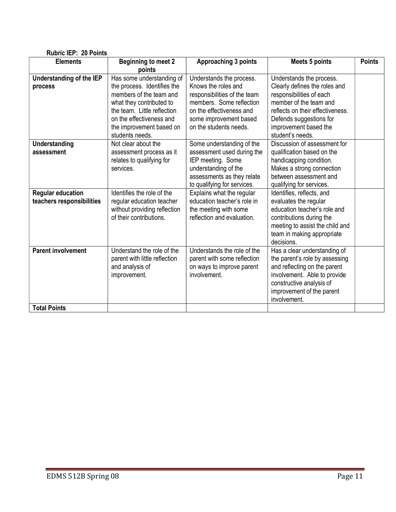| <b>Rubric IEP: 20 Points</b>                          |                                                                                                                                                |                                                                                                                                                                   |                                                                                                                                                                                                         |               |  |
|-------------------------------------------------------|------------------------------------------------------------------------------------------------------------------------------------------------|-------------------------------------------------------------------------------------------------------------------------------------------------------------------|---------------------------------------------------------------------------------------------------------------------------------------------------------------------------------------------------------|---------------|--|
| <b>Elements</b>                                       | <b>Beginning to meet 2</b><br>points                                                                                                           | <b>Approaching 3 points</b>                                                                                                                                       | <b>Meets 5 points</b>                                                                                                                                                                                   | <b>Points</b> |  |
| Understanding of the IEP<br>process                   | Has some understanding of<br>the process. Identifies the<br>members of the team and<br>what they contributed to<br>the team. Little reflection | Understands the process.<br>Knows the roles and<br>responsibilities of the team<br>members. Some reflection<br>on the effectiveness and                           | Understands the process.<br>Clearly defines the roles and<br>responsibilities of each<br>member of the team and<br>reflects on their effectiveness.                                                     |               |  |
|                                                       | on the effectiveness and<br>the improvement based on<br>students needs.                                                                        | some improvement based<br>on the students needs.                                                                                                                  | Defends suggestions for<br>improvement based the<br>student's needs.                                                                                                                                    |               |  |
| <b>Understanding</b><br>assessment                    | Not clear about the<br>assessment process as it<br>relates to qualifying for<br>services.                                                      | Some understanding of the<br>assessment used during the<br>IEP meeting. Some<br>understanding of the<br>assessments as they relate<br>to qualifying for services. | Discussion of assessment for<br>qualification based on the<br>handicapping condition.<br>Makes a strong connection<br>between assessment and<br>qualifying for services.                                |               |  |
| <b>Regular education</b><br>teachers responsibilities | Identifies the role of the<br>regular education teacher<br>without providing reflection<br>of their contributions.                             | Explains what the regular<br>education teacher's role in<br>the meeting with some<br>reflection and evaluation.                                                   | Identifies, reflects, and<br>evaluates the regular<br>education teacher's role and<br>contributions during the<br>meeting to assist the child and<br>team in making appropriate<br>decisions.           |               |  |
| <b>Parent involvement</b>                             | Understand the role of the<br>parent with little reflection<br>and analysis of<br>improvement.                                                 | Understands the role of the<br>parent with some reflection<br>on ways to improve parent<br>involvement.                                                           | Has a clear understanding of<br>the parent's role by assessing<br>and reflecting on the parent<br>involvement. Able to provide<br>constructive analysis of<br>improvement of the parent<br>involvement. |               |  |
| <b>Total Points</b>                                   |                                                                                                                                                |                                                                                                                                                                   |                                                                                                                                                                                                         |               |  |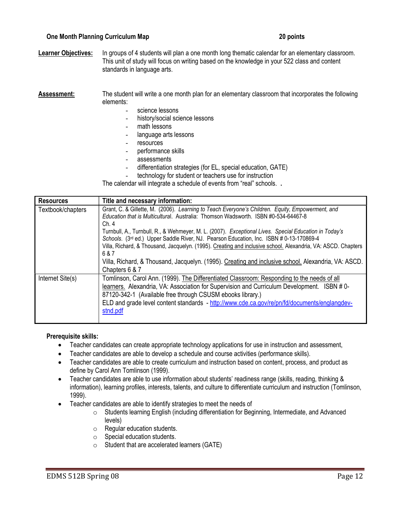## One Month Planning Curriculum Map 20 points

Learner Objectives: In groups of 4 students will plan a one month long thematic calendar for an elementary classroom. This unit of study will focus on writing based on the knowledge in your 522 class and content standards in language arts.

#### Assessment: The student will write a one month plan for an elementary classroom that incorporates the following elements:

- science lessons
- history/social science lessons
- math lessons
- language arts lessons
- resources
- performance skills
- assessments
- differentiation strategies (for EL, special education, GATE)
- technology for student or teachers use for instruction

The calendar will integrate a schedule of events from "real" schools. .

| <b>Resources</b>  | Title and necessary information:                                                                                                                                                                                                                                                                                                                                                                                                 |
|-------------------|----------------------------------------------------------------------------------------------------------------------------------------------------------------------------------------------------------------------------------------------------------------------------------------------------------------------------------------------------------------------------------------------------------------------------------|
| Textbook/chapters | Grant, C. & Gillette, M. (2006). Learning to Teach Everyone's Children. Equity, Empowerment, and<br>Education that is Multicultural. Australia: Thomson Wadsworth. ISBN #0-534-64467-8<br>Ch. 4                                                                                                                                                                                                                                  |
|                   | Turnbull, A., Turnbull, R., & Wehmeyer, M. L. (2007). Exceptional Lives. Special Education in Today's<br>Schools. (3rd ed.) Upper Saddle River, NJ. Pearson Education, Inc. ISBN # 0-13-170869-4<br>Villa, Richard, & Thousand, Jacquelyn. (1995). Creating and inclusive school. Alexandria, VA: ASCD. Chapters<br>6 & 7<br>Villa, Richard, & Thousand, Jacquelyn. (1995). Creating and inclusive school. Alexandria, VA: ASCD. |
|                   | Chapters 6 & 7                                                                                                                                                                                                                                                                                                                                                                                                                   |
| Internet Site(s)  | Tomlinson, Carol Ann. (1999). The Differentiated Classroom: Responding to the needs of all<br>learners. Alexandria, VA: Association for Supervision and Curriculum Development. ISBN #0-<br>87120-342-1 (Available free through CSUSM ebooks library.)<br>ELD and grade level content standards - http://www.cde.ca.gov/re/pn/fd/documents/englangdev-<br>stnd.pdf                                                               |

#### Prerequisite skills:

- Teacher candidates can create appropriate technology applications for use in instruction and assessment,
- Teacher candidates are able to develop a schedule and course activities (performance skills).
- Teacher candidates are able to create curriculum and instruction based on content, process, and product as define by Carol Ann Tomlinson (1999).
- Teacher candidates are able to use information about students' readiness range (skills, reading, thinking & information), learning profiles, interests, talents, and culture to differentiate curriculum and instruction (Tomlinson, 1999).
- Teacher candidates are able to identify strategies to meet the needs of
	- o Students learning English (including differentiation for Beginning, Intermediate, and Advanced levels)
	- o Regular education students.
	- o Special education students.
	- $\circ$  Student that are accelerated learners (GATE)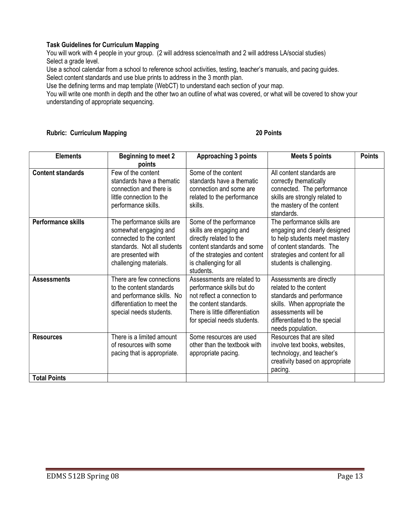# Task Guidelines for Curriculum Mapping

You will work with 4 people in your group. (2 will address science/math and 2 will address LA/social studies) Select a grade level.

Use a school calendar from a school to reference school activities, testing, teacher's manuals, and pacing guides. Select content standards and use blue prints to address in the 3 month plan.

Use the defining terms and map template (WebCT) to understand each section of your map.

You will write one month in depth and the other two an outline of what was covered, or what will be covered to show your understanding of appropriate sequencing.

# Rubric: Curriculum Mapping 20 Points

| <b>Elements</b>           | <b>Beginning to meet 2</b><br>points                                                                                                                           | Approaching 3 points                                                                                                                                                                | <b>Meets 5 points</b>                                                                                                                                                                        | <b>Points</b> |
|---------------------------|----------------------------------------------------------------------------------------------------------------------------------------------------------------|-------------------------------------------------------------------------------------------------------------------------------------------------------------------------------------|----------------------------------------------------------------------------------------------------------------------------------------------------------------------------------------------|---------------|
| <b>Content standards</b>  | Few of the content<br>standards have a thematic<br>connection and there is<br>little connection to the<br>performance skills.                                  | Some of the content<br>standards have a thematic<br>connection and some are<br>related to the performance<br>skills.                                                                | All content standards are<br>correctly thematically<br>connected. The performance<br>skills are strongly related to<br>the mastery of the content<br>standards.                              |               |
| <b>Performance skills</b> | The performance skills are<br>somewhat engaging and<br>connected to the content<br>standards. Not all students<br>are presented with<br>challenging materials. | Some of the performance<br>skills are engaging and<br>directly related to the<br>content standards and some<br>of the strategies and content<br>is challenging for all<br>students. | The performance skills are<br>engaging and clearly designed<br>to help students meet mastery<br>of content standards. The<br>strategies and content for all<br>students is challenging.      |               |
| <b>Assessments</b>        | There are few connections<br>to the content standards<br>and performance skills. No<br>differentiation to meet the<br>special needs students.                  | Assessments are related to<br>performance skills but do<br>not reflect a connection to<br>the content standards.<br>There is little differentiation<br>for special needs students.  | Assessments are directly<br>related to the content<br>standards and performance<br>skills. When appropriate the<br>assessments will be<br>differentiated to the special<br>needs population. |               |
| <b>Resources</b>          | There is a limited amount<br>of resources with some<br>pacing that is appropriate.                                                                             | Some resources are used<br>other than the textbook with<br>appropriate pacing.                                                                                                      | Resources that are sited<br>involve text books, websites,<br>technology, and teacher's<br>creativity based on appropriate<br>pacing.                                                         |               |
| <b>Total Points</b>       |                                                                                                                                                                |                                                                                                                                                                                     |                                                                                                                                                                                              |               |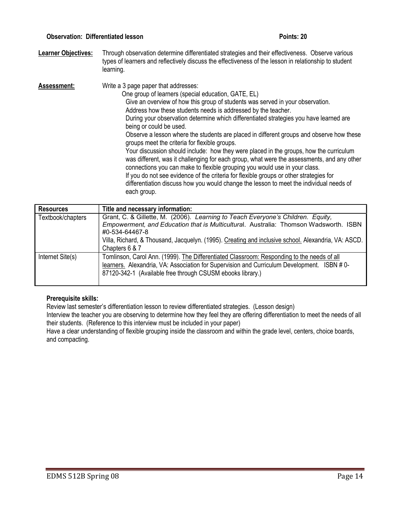### Observation: Differentiated lesson Points: 20

Learner Objectives: Through observation determine differentiated strategies and their effectiveness. Observe various types of learners and reflectively discuss the effectiveness of the lesson in relationship to student learning.

Assessment: Write a 3 page paper that addresses: One group of learners (special education, GATE, EL) Give an overview of how this group of students was served in your observation. Address how these students needs is addressed by the teacher. During your observation determine which differentiated strategies you have learned are being or could be used. Observe a lesson where the students are placed in different groups and observe how these groups meet the criteria for flexible groups. Your discussion should include: how they were placed in the groups, how the curriculum was different, was it challenging for each group, what were the assessments, and any other connections you can make to flexible grouping you would use in your class. If you do not see evidence of the criteria for flexible groups or other strategies for differentiation discuss how you would change the lesson to meet the individual needs of each group.

| <b>Resources</b>  | Title and necessary information:                                                                                                                                                                                                                        |
|-------------------|---------------------------------------------------------------------------------------------------------------------------------------------------------------------------------------------------------------------------------------------------------|
| Textbook/chapters | Grant, C. & Gillette, M. (2006). Learning to Teach Everyone's Children. Equity,<br>Empowerment, and Education that is Multicultural. Australia: Thomson Wadsworth. ISBN<br>#0-534-64467-8                                                               |
|                   | Villa, Richard, & Thousand, Jacquelyn. (1995). Creating and inclusive school. Alexandria, VA: ASCD.<br>Chapters 6 & 7                                                                                                                                   |
| Internet Site(s)  | Tomlinson, Carol Ann. (1999). The Differentiated Classroom: Responding to the needs of all<br>learners. Alexandria, VA: Association for Supervision and Curriculum Development. ISBN # 0-<br>87120-342-1 (Available free through CSUSM ebooks library.) |

# Prerequisite skills:

Review last semester's differentiation lesson to review differentiated strategies. (Lesson design)

Interview the teacher you are observing to determine how they feel they are offering differentiation to meet the needs of all their students. (Reference to this interview must be included in your paper)

Have a clear understanding of flexible grouping inside the classroom and within the grade level, centers, choice boards, and compacting.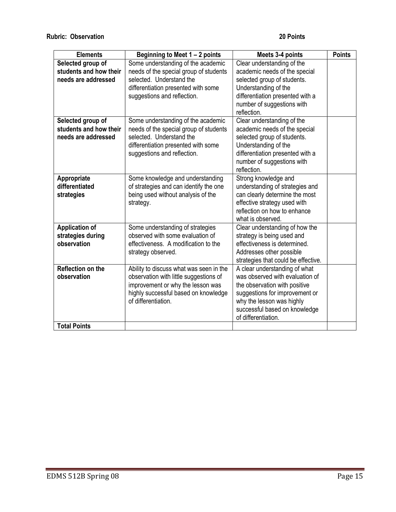| <b>Elements</b>                                                    | Beginning to Meet 1 - 2 points                                                                                                                                                        | Meets 3-4 points                                                                                                                                                                                                         | <b>Points</b> |
|--------------------------------------------------------------------|---------------------------------------------------------------------------------------------------------------------------------------------------------------------------------------|--------------------------------------------------------------------------------------------------------------------------------------------------------------------------------------------------------------------------|---------------|
| Selected group of<br>students and how their<br>needs are addressed | Some understanding of the academic<br>needs of the special group of students<br>selected. Understand the<br>differentiation presented with some<br>suggestions and reflection.        | Clear understanding of the<br>academic needs of the special<br>selected group of students.<br>Understanding of the<br>differentiation presented with a<br>number of suggestions with<br>reflection.                      |               |
| Selected group of<br>students and how their<br>needs are addressed | Some understanding of the academic<br>needs of the special group of students<br>selected. Understand the<br>differentiation presented with some<br>suggestions and reflection.        | Clear understanding of the<br>academic needs of the special<br>selected group of students.<br>Understanding of the<br>differentiation presented with a<br>number of suggestions with<br>reflection.                      |               |
| Appropriate<br>differentiated<br>strategies                        | Some knowledge and understanding<br>of strategies and can identify the one<br>being used without analysis of the<br>strategy.                                                         | Strong knowledge and<br>understanding of strategies and<br>can clearly determine the most<br>effective strategy used with<br>reflection on how to enhance<br>what is observed.                                           |               |
| <b>Application of</b><br>strategies during<br>observation          | Some understanding of strategies<br>observed with some evaluation of<br>effectiveness. A modification to the<br>strategy observed.                                                    | Clear understanding of how the<br>strategy is being used and<br>effectiveness is determined.<br>Addresses other possible<br>strategies that could be effective.                                                          |               |
| <b>Reflection on the</b><br>observation<br><b>Total Points</b>     | Ability to discuss what was seen in the<br>observation with little suggestions of<br>improvement or why the lesson was<br>highly successful based on knowledge<br>of differentiation. | A clear understanding of what<br>was observed with evaluation of<br>the observation with positive<br>suggestions for improvement or<br>why the lesson was highly<br>successful based on knowledge<br>of differentiation. |               |
|                                                                    |                                                                                                                                                                                       |                                                                                                                                                                                                                          |               |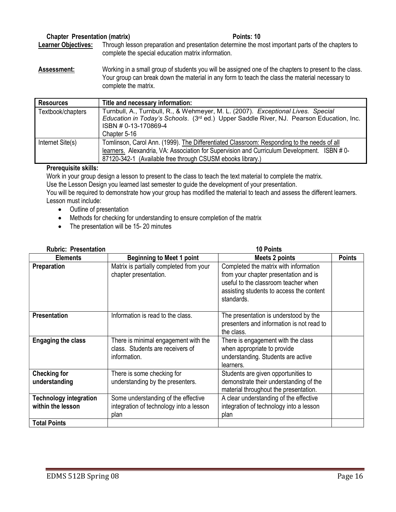## Chapter Presentation (matrix) **Points: 10**

Learner Objectives: Through lesson preparation and presentation determine the most important parts of the chapters to complete the special education matrix information.

Assessment: Working in a small group of students you will be assigned one of the chapters to present to the class. Your group can break down the material in any form to teach the class the material necessary to complete the matrix.

| <b>Resources</b>  | Title and necessary information:                                                                                                                                                                                |
|-------------------|-----------------------------------------------------------------------------------------------------------------------------------------------------------------------------------------------------------------|
| Textbook/chapters | Turnbull, A., Turnbull, R., & Wehmeyer, M. L. (2007). Exceptional Lives. Special<br>Education in Today's Schools. (3 <sup>rd</sup> ed.) Upper Saddle River, NJ. Pearson Education, Inc.<br>ISBN # 0-13-170869-4 |
|                   | Chapter 5-16                                                                                                                                                                                                    |
| Internet Site(s)  | Tomlinson, Carol Ann. (1999). The Differentiated Classroom: Responding to the needs of all                                                                                                                      |
|                   | learners. Alexandria, VA: Association for Supervision and Curriculum Development. ISBN #0-                                                                                                                      |
|                   | 87120-342-1 (Available free through CSUSM ebooks library.)                                                                                                                                                      |

### Prerequisite skills:

Work in your group design a lesson to present to the class to teach the text material to complete the matrix.

Use the Lesson Design you learned last semester to guide the development of your presentation.

You will be required to demonstrate how your group has modified the material to teach and assess the different learners. Lesson must include:

- Outline of presentation
- Methods for checking for understanding to ensure completion of the matrix
- The presentation will be 15-20 minutes

| <b>Rubric: Presentation</b>                        |                                                                                          | <b>10 Points</b>                                                                                                                                                                 |               |
|----------------------------------------------------|------------------------------------------------------------------------------------------|----------------------------------------------------------------------------------------------------------------------------------------------------------------------------------|---------------|
| <b>Elements</b>                                    | <b>Beginning to Meet 1 point</b>                                                         | <b>Meets 2 points</b>                                                                                                                                                            | <b>Points</b> |
| Preparation                                        | Matrix is partially completed from your<br>chapter presentation.                         | Completed the matrix with information<br>from your chapter presentation and is<br>useful to the classroom teacher when<br>assisting students to access the content<br>standards. |               |
| <b>Presentation</b>                                | Information is read to the class.                                                        | The presentation is understood by the<br>presenters and information is not read to<br>the class.                                                                                 |               |
| <b>Engaging the class</b>                          | There is minimal engagement with the<br>class. Students are receivers of<br>information. | There is engagement with the class<br>when appropriate to provide<br>understanding. Students are active<br>learners.                                                             |               |
| <b>Checking for</b><br>understanding               | There is some checking for<br>understanding by the presenters.                           | Students are given opportunities to<br>demonstrate their understanding of the<br>material throughout the presentation.                                                           |               |
| <b>Technology integration</b><br>within the lesson | Some understanding of the effective<br>integration of technology into a lesson<br>plan   | A clear understanding of the effective<br>integration of technology into a lesson<br>plan                                                                                        |               |
| <b>Total Points</b>                                |                                                                                          |                                                                                                                                                                                  |               |